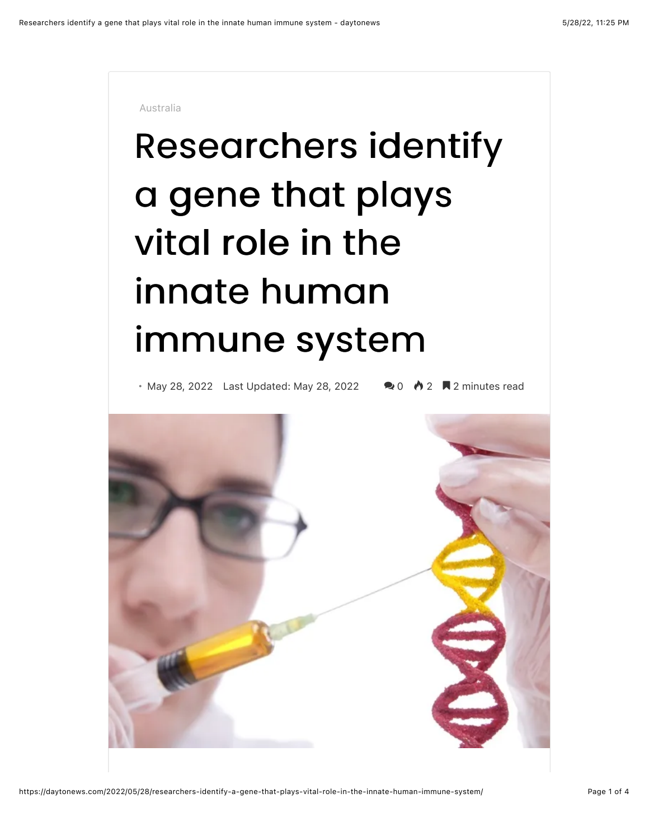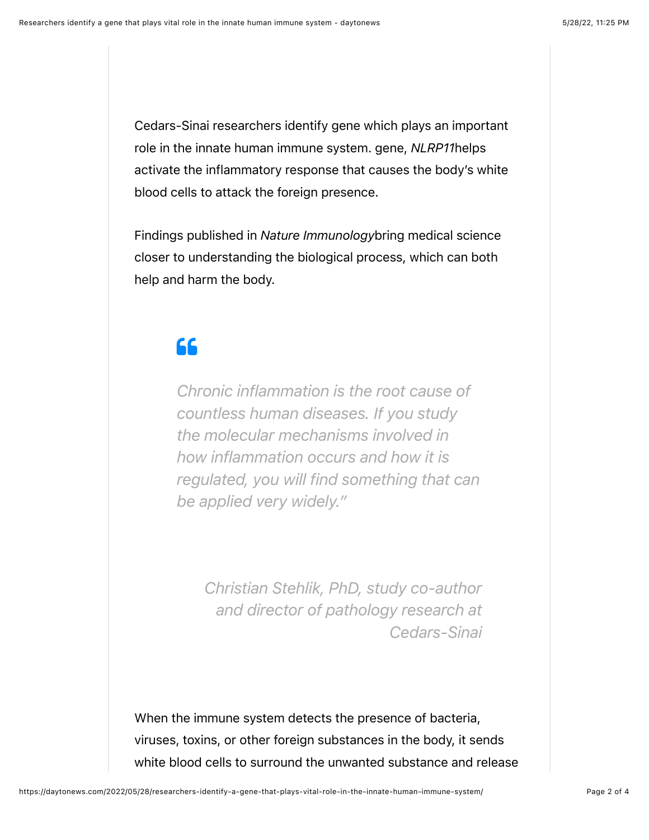Cedars-Sinai researchers identify gene which plays an important role in the innate human immune system. gene, *NLRP11*helps activate the inflammatory response that causes the body's white blood cells to attack the foreign presence.

Findings published in *Nature Immunology*bring medical science closer to understanding the biological process, which can both help and harm the body.

## $66$

*Chronic inflammation is the root cause of countless human diseases. If you study the molecular mechanisms involved in how inflammation occurs and how it is regulated, you will find something that can be applied very widely."*

*Christian Stehlik, PhD, study co-author and director of pathology research at Cedars-Sinai*

When the immune system detects the presence of bacteria, viruses, toxins, or other foreign substances in the body, it sends white blood cells to surround the unwanted substance and release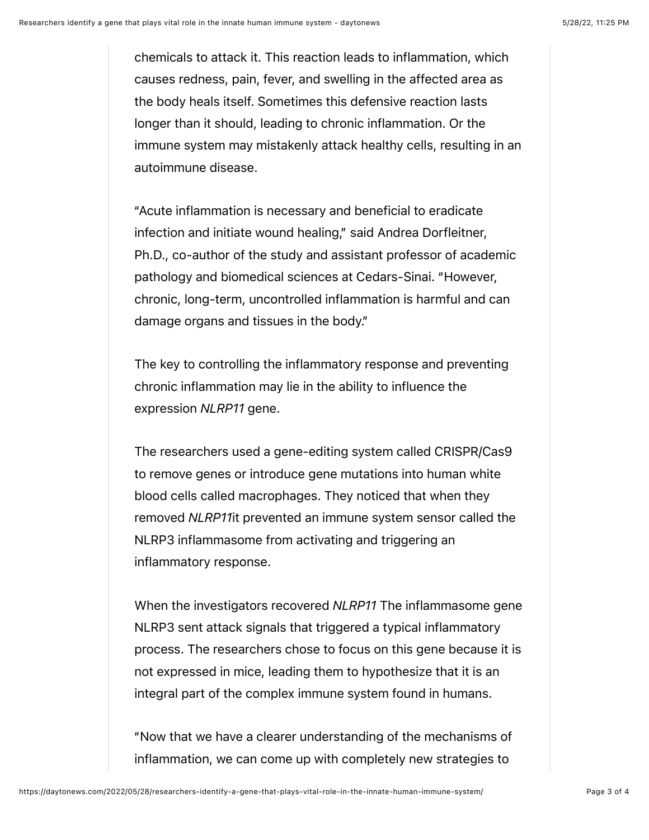chemicals to attack it. This reaction leads to inflammation, which causes redness, pain, fever, and swelling in the affected area as the body heals itself. Sometimes this defensive reaction lasts longer than it should, leading to chronic inflammation. Or the immune system may mistakenly attack healthy cells, resulting in an autoimmune disease.

"Acute inflammation is necessary and beneficial to eradicate infection and initiate wound healing," said Andrea Dorfleitner, Ph.D., co-author of the study and assistant professor of academic pathology and biomedical sciences at Cedars-Sinai. "However, chronic, long-term, uncontrolled inflammation is harmful and can damage organs and tissues in the body."

The key to controlling the inflammatory response and preventing chronic inflammation may lie in the ability to influence the expression *NLRP11* gene.

The researchers used a gene-editing system called CRISPR/Cas9 to remove genes or introduce gene mutations into human white blood cells called macrophages. They noticed that when they removed *NLRP11*it prevented an immune system sensor called the NLRP3 inflammasome from activating and triggering an inflammatory response.

When the investigators recovered *NLRP11* The inflammasome gene NLRP3 sent attack signals that triggered a typical inflammatory process. The researchers chose to focus on this gene because it is not expressed in mice, leading them to hypothesize that it is an integral part of the complex immune system found in humans.

"Now that we have a clearer understanding of the mechanisms of inflammation, we can come up with completely new strategies to